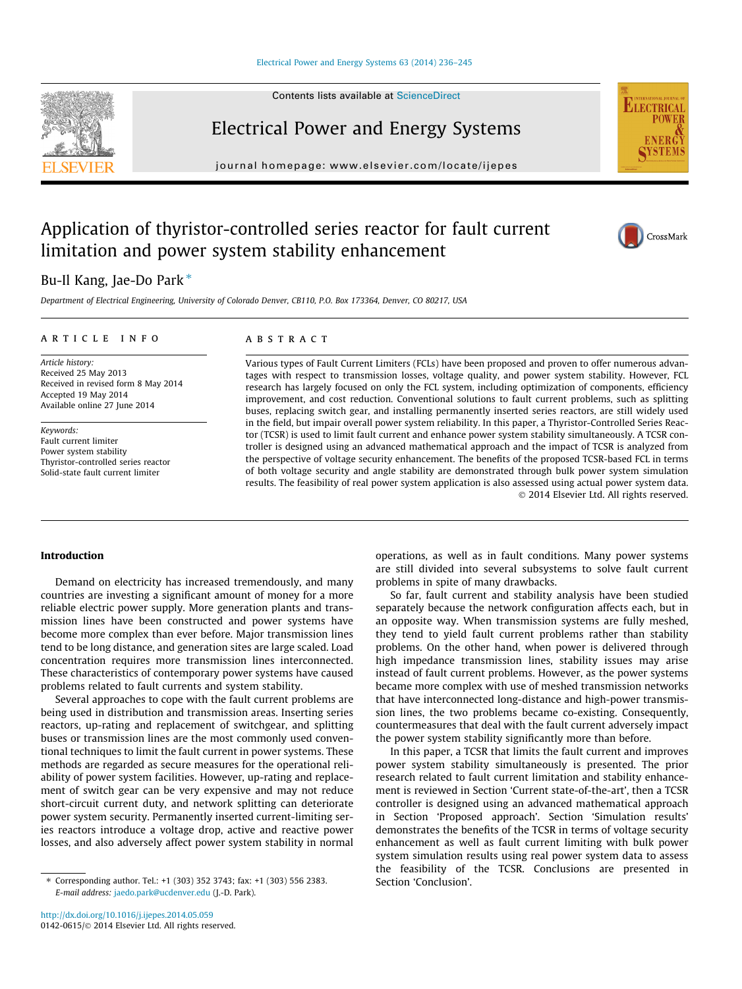#### [Electrical Power and Energy Systems 63 \(2014\) 236–245](http://dx.doi.org/10.1016/j.ijepes.2014.05.059)

Contents lists available at [ScienceDirect](http://www.sciencedirect.com/science/journal/01420615)

Electrical Power and Energy Systems

journal homepage: [www.elsevier.com/locate/ijepes](http://www.elsevier.com/locate/ijepes)

## Application of thyristor-controlled series reactor for fault current limitation and power system stability enhancement

### Bu-Il Kang, Jae-Do Park  $*$

Department of Electrical Engineering, University of Colorado Denver, CB110, P.O. Box 173364, Denver, CO 80217, USA

#### article info

Article history: Received 25 May 2013 Received in revised form 8 May 2014 Accepted 19 May 2014 Available online 27 June 2014

Keywords: Fault current limiter Power system stability Thyristor-controlled series reactor Solid-state fault current limiter

#### **ABSTRACT**

Various types of Fault Current Limiters (FCLs) have been proposed and proven to offer numerous advantages with respect to transmission losses, voltage quality, and power system stability. However, FCL research has largely focused on only the FCL system, including optimization of components, efficiency improvement, and cost reduction. Conventional solutions to fault current problems, such as splitting buses, replacing switch gear, and installing permanently inserted series reactors, are still widely used in the field, but impair overall power system reliability. In this paper, a Thyristor-Controlled Series Reactor (TCSR) is used to limit fault current and enhance power system stability simultaneously. A TCSR controller is designed using an advanced mathematical approach and the impact of TCSR is analyzed from the perspective of voltage security enhancement. The benefits of the proposed TCSR-based FCL in terms of both voltage security and angle stability are demonstrated through bulk power system simulation results. The feasibility of real power system application is also assessed using actual power system data. - 2014 Elsevier Ltd. All rights reserved.

#### Introduction

Demand on electricity has increased tremendously, and many countries are investing a significant amount of money for a more reliable electric power supply. More generation plants and transmission lines have been constructed and power systems have become more complex than ever before. Major transmission lines tend to be long distance, and generation sites are large scaled. Load concentration requires more transmission lines interconnected. These characteristics of contemporary power systems have caused problems related to fault currents and system stability.

Several approaches to cope with the fault current problems are being used in distribution and transmission areas. Inserting series reactors, up-rating and replacement of switchgear, and splitting buses or transmission lines are the most commonly used conventional techniques to limit the fault current in power systems. These methods are regarded as secure measures for the operational reliability of power system facilities. However, up-rating and replacement of switch gear can be very expensive and may not reduce short-circuit current duty, and network splitting can deteriorate power system security. Permanently inserted current-limiting series reactors introduce a voltage drop, active and reactive power losses, and also adversely affect power system stability in normal operations, as well as in fault conditions. Many power systems are still divided into several subsystems to solve fault current problems in spite of many drawbacks.

So far, fault current and stability analysis have been studied separately because the network configuration affects each, but in an opposite way. When transmission systems are fully meshed, they tend to yield fault current problems rather than stability problems. On the other hand, when power is delivered through high impedance transmission lines, stability issues may arise instead of fault current problems. However, as the power systems became more complex with use of meshed transmission networks that have interconnected long-distance and high-power transmission lines, the two problems became co-existing. Consequently, countermeasures that deal with the fault current adversely impact the power system stability significantly more than before.

In this paper, a TCSR that limits the fault current and improves power system stability simultaneously is presented. The prior research related to fault current limitation and stability enhancement is reviewed in Section 'Current state-of-the-art', then a TCSR controller is designed using an advanced mathematical approach in Section 'Proposed approach'. Section 'Simulation results' demonstrates the benefits of the TCSR in terms of voltage security enhancement as well as fault current limiting with bulk power system simulation results using real power system data to assess the feasibility of the TCSR. Conclusions are presented in Section 'Conclusion'.





**ELECTRICA** 

<sup>⇑</sup> Corresponding author. Tel.: +1 (303) 352 3743; fax: +1 (303) 556 2383. E-mail address: [jaedo.park@ucdenver.edu](mailto:jaedo.park@ucdenver.edu) (J.-D. Park).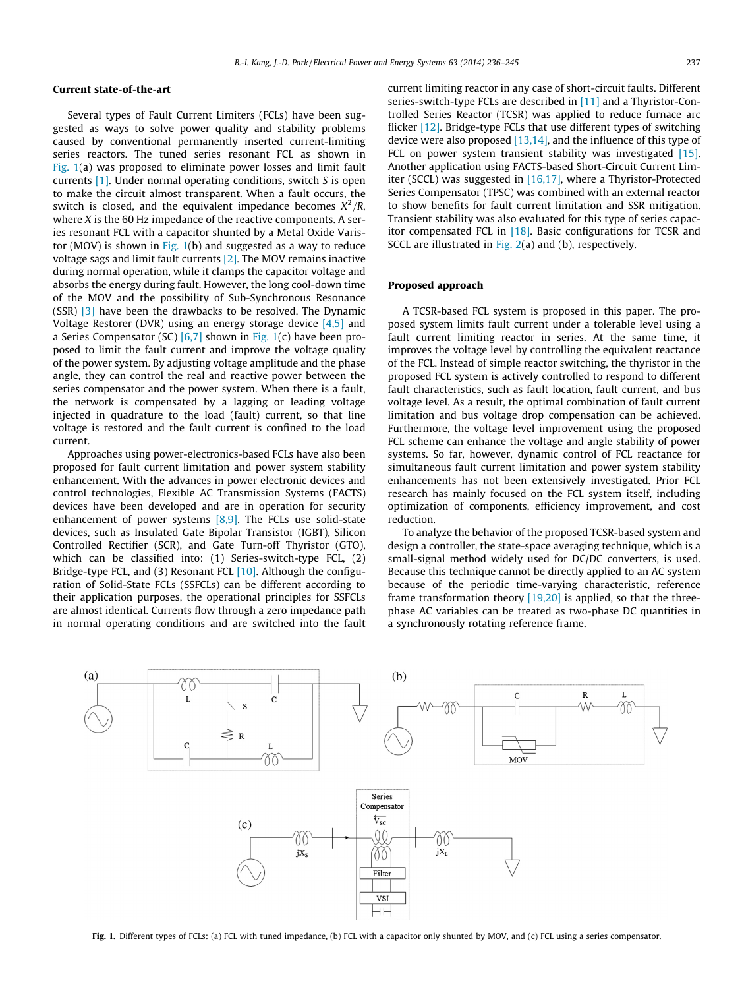#### Current state-of-the-art

Several types of Fault Current Limiters (FCLs) have been suggested as ways to solve power quality and stability problems caused by conventional permanently inserted current-limiting series reactors. The tuned series resonant FCL as shown in Fig. 1(a) was proposed to eliminate power losses and limit fault currents [\[1\]](#page--1-0). Under normal operating conditions, switch S is open to make the circuit almost transparent. When a fault occurs, the switch is closed, and the equivalent impedance becomes  $X^2/R$ , where X is the 60 Hz impedance of the reactive components. A series resonant FCL with a capacitor shunted by a Metal Oxide Varistor (MOV) is shown in Fig. 1(b) and suggested as a way to reduce voltage sags and limit fault currents [\[2\]](#page--1-0). The MOV remains inactive during normal operation, while it clamps the capacitor voltage and absorbs the energy during fault. However, the long cool-down time of the MOV and the possibility of Sub-Synchronous Resonance (SSR) [\[3\]](#page--1-0) have been the drawbacks to be resolved. The Dynamic Voltage Restorer (DVR) using an energy storage device [\[4,5\]](#page--1-0) and a Series Compensator (SC)  $[6,7]$  shown in Fig. 1(c) have been proposed to limit the fault current and improve the voltage quality of the power system. By adjusting voltage amplitude and the phase angle, they can control the real and reactive power between the series compensator and the power system. When there is a fault, the network is compensated by a lagging or leading voltage injected in quadrature to the load (fault) current, so that line voltage is restored and the fault current is confined to the load current.

Approaches using power-electronics-based FCLs have also been proposed for fault current limitation and power system stability enhancement. With the advances in power electronic devices and control technologies, Flexible AC Transmission Systems (FACTS) devices have been developed and are in operation for security enhancement of power systems  $[8,9]$ . The FCLs use solid-state devices, such as Insulated Gate Bipolar Transistor (IGBT), Silicon Controlled Rectifier (SCR), and Gate Turn-off Thyristor (GTO), which can be classified into: (1) Series-switch-type FCL, (2) Bridge-type FCL, and (3) Resonant FCL [\[10\].](#page--1-0) Although the configuration of Solid-State FCLs (SSFCLs) can be different according to their application purposes, the operational principles for SSFCLs are almost identical. Currents flow through a zero impedance path in normal operating conditions and are switched into the fault

current limiting reactor in any case of short-circuit faults. Different series-switch-type FCLs are described in [\[11\]](#page--1-0) and a Thyristor-Controlled Series Reactor (TCSR) was applied to reduce furnace arc flicker [\[12\]](#page--1-0). Bridge-type FCLs that use different types of switching device were also proposed  $[13,14]$ , and the influence of this type of FCL on power system transient stability was investigated [\[15\].](#page--1-0) Another application using FACTS-based Short-Circuit Current Limiter (SCCL) was suggested in [\[16,17\]](#page--1-0), where a Thyristor-Protected Series Compensator (TPSC) was combined with an external reactor to show benefits for fault current limitation and SSR mitigation. Transient stability was also evaluated for this type of series capacitor compensated FCL in [\[18\].](#page--1-0) Basic configurations for TCSR and SCCL are illustrated in [Fig. 2\(](#page--1-0)a) and (b), respectively.

#### Proposed approach

A TCSR-based FCL system is proposed in this paper. The proposed system limits fault current under a tolerable level using a fault current limiting reactor in series. At the same time, it improves the voltage level by controlling the equivalent reactance of the FCL. Instead of simple reactor switching, the thyristor in the proposed FCL system is actively controlled to respond to different fault characteristics, such as fault location, fault current, and bus voltage level. As a result, the optimal combination of fault current limitation and bus voltage drop compensation can be achieved. Furthermore, the voltage level improvement using the proposed FCL scheme can enhance the voltage and angle stability of power systems. So far, however, dynamic control of FCL reactance for simultaneous fault current limitation and power system stability enhancements has not been extensively investigated. Prior FCL research has mainly focused on the FCL system itself, including optimization of components, efficiency improvement, and cost reduction.

To analyze the behavior of the proposed TCSR-based system and design a controller, the state-space averaging technique, which is a small-signal method widely used for DC/DC converters, is used. Because this technique cannot be directly applied to an AC system because of the periodic time-varying characteristic, reference frame transformation theory [\[19,20\]](#page--1-0) is applied, so that the threephase AC variables can be treated as two-phase DC quantities in a synchronously rotating reference frame.



Fig. 1. Different types of FCLs: (a) FCL with tuned impedance, (b) FCL with a capacitor only shunted by MOV, and (c) FCL using a series compensator.